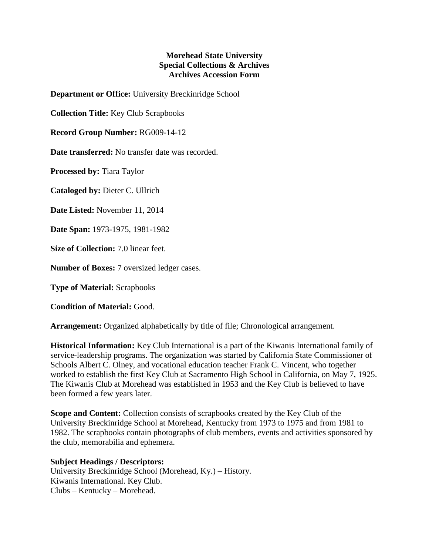## **Morehead State University Special Collections & Archives Archives Accession Form**

**Department or Office:** University Breckinridge School

**Collection Title:** Key Club Scrapbooks

**Record Group Number:** RG009-14-12

**Date transferred:** No transfer date was recorded.

**Processed by:** Tiara Taylor

**Cataloged by:** Dieter C. Ullrich

**Date Listed:** November 11, 2014

**Date Span:** 1973-1975, 1981-1982

**Size of Collection:** 7.0 linear feet.

**Number of Boxes:** 7 oversized ledger cases.

**Type of Material:** Scrapbooks

**Condition of Material:** Good.

**Arrangement:** Organized alphabetically by title of file; Chronological arrangement.

**Historical Information:** Key Club International is a part of the Kiwanis International family of service-leadership programs. The organization was started by California State Commissioner of Schools Albert C. Olney, and vocational education teacher Frank C. Vincent, who together worked to establish the first Key Club at Sacramento High School in California, on May 7, 1925. The Kiwanis Club at Morehead was established in 1953 and the Key Club is believed to have been formed a few years later.

**Scope and Content:** Collection consists of scrapbooks created by the Key Club of the University Breckinridge School at Morehead, Kentucky from 1973 to 1975 and from 1981 to 1982. The scrapbooks contain photographs of club members, events and activities sponsored by the club, memorabilia and ephemera.

**Subject Headings / Descriptors:** University Breckinridge School (Morehead, Ky.) – History. Kiwanis International. Key Club.

Clubs – Kentucky – Morehead.